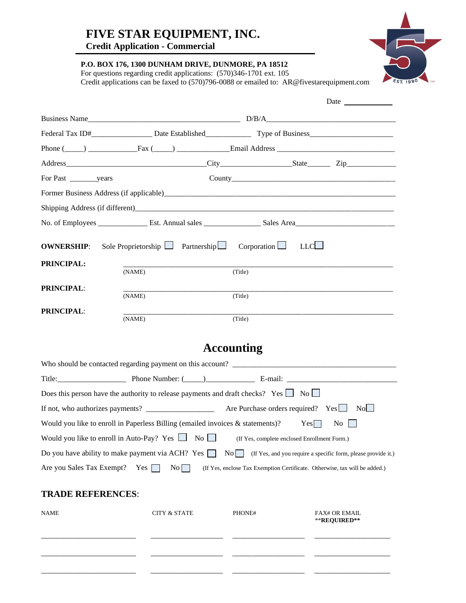## **FIVE STAR EQUIPMENT, INC.**

**Credit Application - Commercial**

**P.O. BOX 176, 1300 DUNHAM DRIVE, DUNMORE, PA 18512** 

For questions regarding credit applications: (570)346-1701 ext. 105 Credit applications can be faxed to (570)796-0088 or emailed to: AR@fivestarequipment.com

|                   |                                                                             |         | Phone $(\_\_\_)$ Fax $(\_\_)$ Fraction $\_\_$ Email Address $\_\_$ |
|-------------------|-----------------------------------------------------------------------------|---------|--------------------------------------------------------------------|
|                   |                                                                             |         |                                                                    |
|                   |                                                                             |         |                                                                    |
|                   |                                                                             |         |                                                                    |
|                   |                                                                             |         |                                                                    |
|                   |                                                                             |         |                                                                    |
|                   | <b>OWNERSHIP:</b> Sole Proprietorship $\Box$ Partnership Corporation $\Box$ |         | LLCL                                                               |
| PRINCIPAL:        | (NAME)                                                                      | (Title) |                                                                    |
| <b>PRINCIPAL:</b> | (NAME)                                                                      | (Title) |                                                                    |
| <b>PRINCIPAL:</b> | (NAME)                                                                      | (Title) |                                                                    |

## **Accounting**

| Who should be contacted regarding payment on this account? ______________________                                                                 |  |  |
|---------------------------------------------------------------------------------------------------------------------------------------------------|--|--|
|                                                                                                                                                   |  |  |
| Does this person have the authority to release payments and draft checks? Yes $\Box$ No                                                           |  |  |
| Are Purchase orders required? $Yes \Box$<br>No l                                                                                                  |  |  |
| Would you like to enroll in Paperless Billing (emailed invoices $\&$ statements)?<br>Yes<br>$\overline{N_0}$                                      |  |  |
| Would you like to enroll in Auto-Pay? Yes $\Box$ No $\Box$<br>(If Yes, complete enclosed Enrollment Form.)                                        |  |  |
| Do you have ability to make payment via ACH? Yes $\Box$<br>$\overline{No}$ (If Yes, and you require a specific form, please provide it.)          |  |  |
| Yes $\lceil \cdot \rceil$<br>$\rm{No}$<br>Are you Sales Tax Exempt?<br>(If Yes, enclose Tax Exemption Certificate. Otherwise, tax will be added.) |  |  |

#### **TRADE REFERENCES**:

| <b>NAME</b> | <b>CITY &amp; STATE</b> | PHONE# | <b>FAX# OR EMAIL</b><br>**REQUIRED** |
|-------------|-------------------------|--------|--------------------------------------|
|             |                         |        |                                      |
|             |                         |        |                                      |

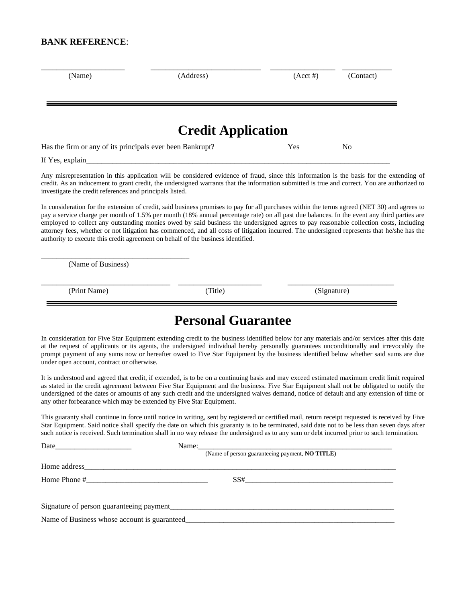#### **BANK REFERENCE**:

| (Name)                                                    | (Address)                                                                                                                                                                                                                                                                                                                                                                                                                                                                                                                                                                                                                                                               | $(Acct \#)$ | (Contact) |  |
|-----------------------------------------------------------|-------------------------------------------------------------------------------------------------------------------------------------------------------------------------------------------------------------------------------------------------------------------------------------------------------------------------------------------------------------------------------------------------------------------------------------------------------------------------------------------------------------------------------------------------------------------------------------------------------------------------------------------------------------------------|-------------|-----------|--|
|                                                           | <b>Credit Application</b>                                                                                                                                                                                                                                                                                                                                                                                                                                                                                                                                                                                                                                               |             |           |  |
| Has the firm or any of its principals ever been Bankrupt? |                                                                                                                                                                                                                                                                                                                                                                                                                                                                                                                                                                                                                                                                         | Yes         | No        |  |
| If Yes, explain                                           |                                                                                                                                                                                                                                                                                                                                                                                                                                                                                                                                                                                                                                                                         |             |           |  |
| investigate the credit references and principals listed.  | Any misrepresentation in this application will be considered evidence of fraud, since this information is the basis for the extending of<br>credit. As an inducement to grant credit, the undersigned warrants that the information submitted is true and correct. You are authorized to                                                                                                                                                                                                                                                                                                                                                                                |             |           |  |
|                                                           | In consideration for the extension of credit, said business promises to pay for all purchases within the terms agreed (NET 30) and agrees to<br>pay a service charge per month of 1.5% per month (18% annual percentage rate) on all past due balances. In the event any third parties are<br>employed to collect any outstanding monies owed by said business the undersigned agrees to pay reasonable collection costs, including<br>attorney fees, whether or not litigation has commenced, and all costs of litigation incurred. The undersigned represents that he/she has the<br>authority to execute this credit agreement on behalf of the business identified. |             |           |  |
| (Name of Business)                                        |                                                                                                                                                                                                                                                                                                                                                                                                                                                                                                                                                                                                                                                                         |             |           |  |

(Print Name) (Trile) (Signature) (Signature)

## **Personal Guarantee**

In consideration for Five Star Equipment extending credit to the business identified below for any materials and/or services after this date at the request of applicants or its agents, the undersigned individual hereby personally guarantees unconditionally and irrevocably the prompt payment of any sums now or hereafter owed to Five Star Equipment by the business identified below whether said sums are due under open account, contract or otherwise.

It is understood and agreed that credit, if extended, is to be on a continuing basis and may exceed estimated maximum credit limit required as stated in the credit agreement between Five Star Equipment and the business. Five Star Equipment shall not be obligated to notify the undersigned of the dates or amounts of any such credit and the undersigned waives demand, notice of default and any extension of time or any other forbearance which may be extended by Five Star Equipment.

This guaranty shall continue in force until notice in writing, sent by registered or certified mail, return receipt requested is received by Five Star Equipment. Said notice shall specify the date on which this guaranty is to be terminated, said date not to be less than seven days after such notice is received. Such termination shall in no way release the undersigned as to any sum or debt incurred prior to such termination.

|                                                                                                       | Name: |                                                 |  |
|-------------------------------------------------------------------------------------------------------|-------|-------------------------------------------------|--|
|                                                                                                       |       | (Name of person guaranteeing payment, NO TITLE) |  |
|                                                                                                       |       |                                                 |  |
| Home Phone #<br><u> 1980 - Jan Barat, martin dina masjid da ya kuma a shekara ta 1980 a Tanzania.</u> |       | SS#                                             |  |
|                                                                                                       |       | Signature of person guaranteeing payment        |  |
| Name of Business whose account is guaranteed_                                                         |       |                                                 |  |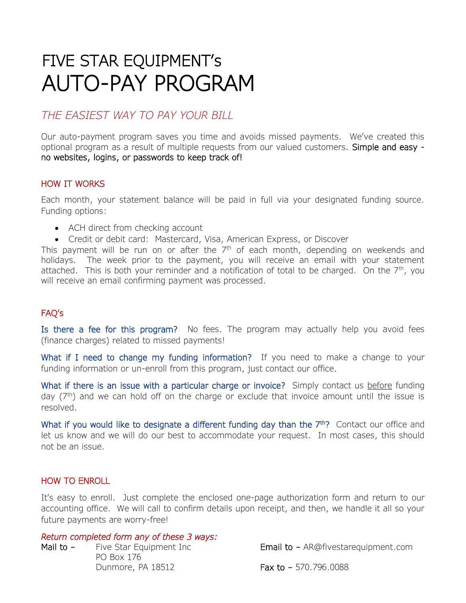# FIVE STAR EQUIPMENT's AUTO-PAY PROGRAM

### *THE EASIEST WAY TO PAY YOUR BILL*

Our auto-payment program saves you time and avoids missed payments. We've created this optional program as a result of multiple requests from our valued customers. Simple and easy no websites, logins, or passwords to keep track of!

#### HOW IT WORKS

Each month, your statement balance will be paid in full via your designated funding source. Funding options:

- ACH direct from checking account
- Credit or debit card: Mastercard, Visa, American Express, or Discover

This payment will be run on or after the  $7<sup>th</sup>$  of each month, depending on weekends and holidays. The week prior to the payment, you will receive an email with your statement attached. This is both your reminder and a notification of total to be charged. On the  $7<sup>th</sup>$ , you will receive an email confirming payment was processed.

#### FAQ's

Is there a fee for this program? No fees. The program may actually help you avoid fees (finance charges) related to missed payments!

What if I need to change my funding information? If you need to make a change to your funding information or un-enroll from this program, just contact our office.

What if there is an issue with a particular charge or invoice? Simply contact us before funding day  $(7<sup>th</sup>)$  and we can hold off on the charge or exclude that invoice amount until the issue is resolved.

What if you would like to designate a different funding day than the  $7<sup>th</sup>$ ? Contact our office and let us know and we will do our best to accommodate your request. In most cases, this should not be an issue.

#### HOW TO ENROLL

It's easy to enroll. Just complete the enclosed one-page authorization form and return to our accounting office. We will call to confirm details upon receipt, and then, we handle it all so your future payments are worry-free!

#### *Return completed form any of these 3 ways:*

Mail to – Five Star Equipment Inc **Email to – AR@fivestarequipment.com** PO Box 176 Dunmore, PA 18512 **Fax to - 570.796.0088**